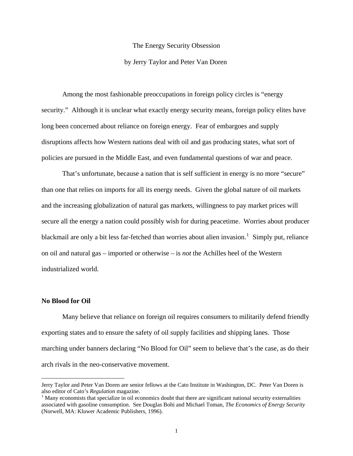### The Energy Security Obsession

### by Jerry Taylor and Peter Van Doren

 Among the most fashionable preoccupations in foreign policy circles is "energy security." Although it is unclear what exactly energy security means, foreign policy elites have long been concerned about reliance on foreign energy. Fear of embargoes and supply disruptions affects how Western nations deal with oil and gas producing states, what sort of policies are pursued in the Middle East, and even fundamental questions of war and peace.

That's unfortunate, because a nation that is self sufficient in energy is no more "secure" than one that relies on imports for all its energy needs. Given the global nature of oil markets and the increasing globalization of natural gas markets, willingness to pay market prices will secure all the energy a nation could possibly wish for during peacetime. Worries about producer blackmail are only a bit less far-fetched than worries about alien invasion.<sup>[1](#page-0-0)</sup> Simply put, reliance on oil and natural gas – imported or otherwise – is *not* the Achilles heel of the Western industrialized world.

# **No Blood for Oil**

1

 Many believe that reliance on foreign oil requires consumers to militarily defend friendly exporting states and to ensure the safety of oil supply facilities and shipping lanes. Those marching under banners declaring "No Blood for Oil" seem to believe that's the case, as do their arch rivals in the neo-conservative movement.

Jerry Taylor and Peter Van Doren are senior fellows at the Cato Institute in Washington, DC. Peter Van Doren is also editor of Cato's *Regulation* magazine. 1

<span id="page-0-0"></span> $<sup>1</sup>$  Many economists that specialize in oil economics doubt that there are significant national security externalities</sup> associated with gasoline consumption. See Douglas Bohi and Michael Toman, *The Economics of Energy Security* (Norwell, MA: Kluwer Academic Publishers, 1996).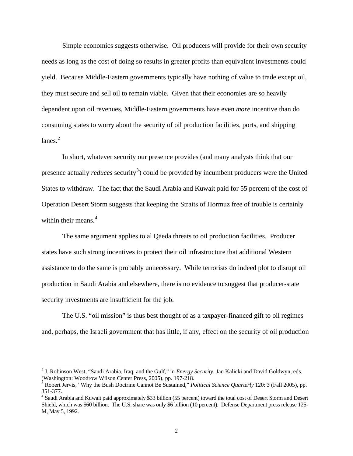Simple economics suggests otherwise. Oil producers will provide for their own security needs as long as the cost of doing so results in greater profits than equivalent investments could yield. Because Middle-Eastern governments typically have nothing of value to trade except oil, they must secure and sell oil to remain viable. Given that their economies are so heavily dependent upon oil revenues, Middle-Eastern governments have even *more* incentive than do consuming states to worry about the security of oil production facilities, ports, and shipping lanes. $2$ 

 In short, whatever security our presence provides (and many analysts think that our presence actually *reduces* security<sup>[3](#page-1-1)</sup>) could be provided by incumbent producers were the United States to withdraw. The fact that the Saudi Arabia and Kuwait paid for 55 percent of the cost of Operation Desert Storm suggests that keeping the Straits of Hormuz free of trouble is certainly within their means.<sup>[4](#page-1-2)</sup>

The same argument applies to al Qaeda threats to oil production facilities. Producer states have such strong incentives to protect their oil infrastructure that additional Western assistance to do the same is probably unnecessary. While terrorists do indeed plot to disrupt oil production in Saudi Arabia and elsewhere, there is no evidence to suggest that producer-state security investments are insufficient for the job.

 The U.S. "oil mission" is thus best thought of as a taxpayer-financed gift to oil regimes and, perhaps, the Israeli government that has little, if any, effect on the security of oil production

<span id="page-1-0"></span><sup>2</sup> J. Robinson West, "Saudi Arabia, Iraq, and the Gulf," in *Energy Security*, Jan Kalicki and David Goldwyn, eds. (Washington: Woodrow Wilson Center Press, 2005), pp. 197-218.

<span id="page-1-1"></span><sup>3</sup> Robert Jervis, "Why the Bush Doctrine Cannot Be Sustained," *Political Science Quarterly* 120: 3 (Fall 2005), pp. 351-377.

<span id="page-1-2"></span><sup>&</sup>lt;sup>4</sup> Saudi Arabia and Kuwait paid approximately \$33 billion (55 percent) toward the total cost of Desert Storm and Desert Shield, which was \$60 billion. The U.S. share was only \$6 billion (10 percent). Defense Department press release 125- M, May 5, 1992.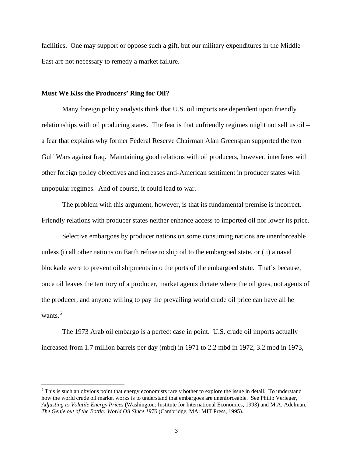facilities. One may support or oppose such a gift, but our military expenditures in the Middle East are not necessary to remedy a market failure.

### **Must We Kiss the Producers' Ring for Oil?**

 $\overline{a}$ 

 Many foreign policy analysts think that U.S. oil imports are dependent upon friendly relationships with oil producing states. The fear is that unfriendly regimes might not sell us oil – a fear that explains why former Federal Reserve Chairman Alan Greenspan supported the two Gulf Wars against Iraq. Maintaining good relations with oil producers, however, interferes with other foreign policy objectives and increases anti-American sentiment in producer states with unpopular regimes. And of course, it could lead to war.

 The problem with this argument, however, is that its fundamental premise is incorrect. Friendly relations with producer states neither enhance access to imported oil nor lower its price.

 Selective embargoes by producer nations on some consuming nations are unenforceable unless (i) all other nations on Earth refuse to ship oil to the embargoed state, or (ii) a naval blockade were to prevent oil shipments into the ports of the embargoed state. That's because, once oil leaves the territory of a producer, market agents dictate where the oil goes, not agents of the producer, and anyone willing to pay the prevailing world crude oil price can have all he wants.<sup>[5](#page-2-0)</sup>

The 1973 Arab oil embargo is a perfect case in point. U.S. crude oil imports actually increased from 1.7 million barrels per day (mbd) in 1971 to 2.2 mbd in 1972, 3.2 mbd in 1973,

<span id="page-2-0"></span> $<sup>5</sup>$  This is such an obvious point that energy economists rarely bother to explore the issue in detail. To understand</sup> how the world crude oil market works is to understand that embargoes are unenforceable. See Philip Verleger, *Adjusting to Volatile Energy Prices* (Washington: Institute for International Economics, 1993) and M.A. Adelman, *The Genie out of the Bottle: World Oil Since 1970* (Cambridge, MA: MIT Press, 1995).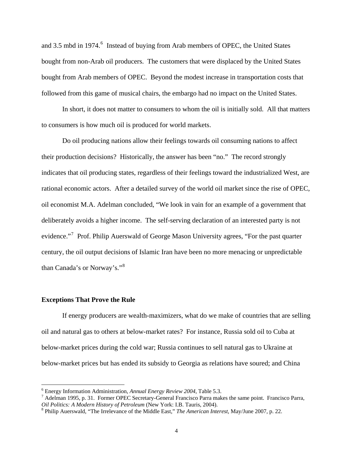and 3.5 mbd in 1974.<sup>[6](#page-3-0)</sup> Instead of buying from Arab members of OPEC, the United States bought from non-Arab oil producers. The customers that were displaced by the United States bought from Arab members of OPEC. Beyond the modest increase in transportation costs that followed from this game of musical chairs, the embargo had no impact on the United States.

 In short, it does not matter to consumers to whom the oil is initially sold. All that matters to consumers is how much oil is produced for world markets.

 Do oil producing nations allow their feelings towards oil consuming nations to affect their production decisions? Historically, the answer has been "no." The record strongly indicates that oil producing states, regardless of their feelings toward the industrialized West, are rational economic actors. After a detailed survey of the world oil market since the rise of OPEC, oil economist M.A. Adelman concluded, "We look in vain for an example of a government that deliberately avoids a higher income. The self-serving declaration of an interested party is not evidence."<sup>[7](#page-3-1)</sup> Prof. Philip Auerswald of George Mason University agrees, "For the past quarter century, the oil output decisions of Islamic Iran have been no more menacing or unpredictable than Canada's or Norway's."[8](#page-3-2)

### **Exceptions That Prove the Rule**

<u>.</u>

 If energy producers are wealth-maximizers, what do we make of countries that are selling oil and natural gas to others at below-market rates? For instance, Russia sold oil to Cuba at below-market prices during the cold war; Russia continues to sell natural gas to Ukraine at below-market prices but has ended its subsidy to Georgia as relations have soured; and China

<span id="page-3-0"></span><sup>&</sup>lt;sup>6</sup> Energy Information Administration, *Annual Energy Review 2004*, Table 5.3.

<span id="page-3-1"></span><sup>&</sup>lt;sup>7</sup> Adelman 1995, p. 31. Former OPEC Secretary-General Francisco Parra makes the same point. Francisco Parra, *Oil Politics: A Modern History of Petroleum* (New York: I.B. Tauris, 2004).

<span id="page-3-2"></span>Philip Auerswald, "The Irrelevance of the Middle East," *The American Interest*, May/June 2007, p. 22.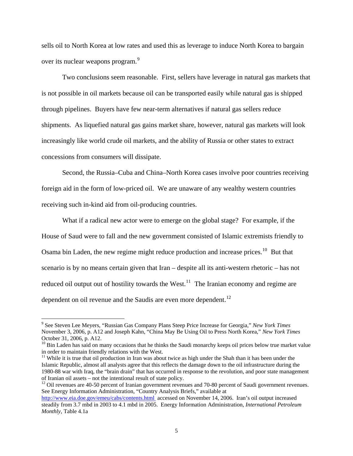sells oil to North Korea at low rates and used this as leverage to induce North Korea to bargain over its nuclear weapons program.<sup>[9](#page-4-0)</sup>

Two conclusions seem reasonable. First, sellers have leverage in natural gas markets that is not possible in oil markets because oil can be transported easily while natural gas is shipped through pipelines. Buyers have few near-term alternatives if natural gas sellers reduce shipments. As liquefied natural gas gains market share, however, natural gas markets will look increasingly like world crude oil markets, and the ability of Russia or other states to extract concessions from consumers will dissipate.

Second, the Russia–Cuba and China–North Korea cases involve poor countries receiving foreign aid in the form of low-priced oil. We are unaware of any wealthy western countries receiving such in-kind aid from oil-producing countries.

 What if a radical new actor were to emerge on the global stage? For example, if the House of Saud were to fall and the new government consisted of Islamic extremists friendly to Osama bin Laden, the new regime might reduce production and increase prices.<sup>[10](#page-4-1)</sup> But that scenario is by no means certain given that Iran – despite all its anti-western rhetoric – has not reduced oil output out of hostility towards the West.<sup>[11](#page-4-2)</sup> The Iranian economy and regime are dependent on oil revenue and the Saudis are even more dependent.<sup>[12](#page-4-3)</sup>

<span id="page-4-0"></span><sup>9</sup> See Steven Lee Meyers, "Russian Gas Company Plans Steep Price Increase for Georgia," *New York Times* November 3, 2006, p. A12 and Joseph Kahn, "China May Be Using Oil to Press North Korea," *New York Times* October 31, 2006, p. A12.

<span id="page-4-1"></span> $10$  Bin Laden has said on many occasions that he thinks the Saudi monarchy keeps oil prices below true market value in order to maintain friendly relations with the West.

<span id="page-4-2"></span> $11$  While it is true that oil production in Iran was about twice as high under the Shah than it has been under the Islamic Republic, almost all analysts agree that this reflects the damage down to the oil infrastructure during the 1980-88 war with Iraq, the "brain drain" that has occurred in response to the revolution, and poor state management of Iranian oil assets – not the intentional result of state policy.

<span id="page-4-3"></span> $12$  Oil revenues are 40-50 percent of Iranian government revenues and 70-80 percent of Saudi government revenues. See Energy Information Administration, "Country Analysis Briefs," available at

<http://www.eia.doe.gov/emeu/cabs/contents.html>accessed on November 14, 2006. Iran's oil output increased steadily from 3.7 mbd in 2003 to 4.1 mbd in 2005. Energy Information Administration, *International Petroleum Monthly*, Table 4.1a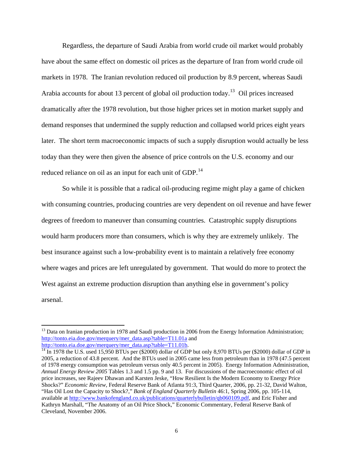Regardless, the departure of Saudi Arabia from world crude oil market would probably have about the same effect on domestic oil prices as the departure of Iran from world crude oil markets in 1978. The Iranian revolution reduced oil production by 8.9 percent, whereas Saudi Arabia accounts for about [13](#page-5-0) percent of global oil production today.<sup>13</sup> Oil prices increased dramatically after the 1978 revolution, but those higher prices set in motion market supply and demand responses that undermined the supply reduction and collapsed world prices eight years later. The short term macroeconomic impacts of such a supply disruption would actually be less today than they were then given the absence of price controls on the U.S. economy and our reduced reliance on oil as an input for each unit of GDP.<sup>[14](#page-5-1)</sup>

So while it is possible that a radical oil-producing regime might play a game of chicken with consuming countries, producing countries are very dependent on oil revenue and have fewer degrees of freedom to maneuver than consuming countries. Catastrophic supply disruptions would harm producers more than consumers, which is why they are extremely unlikely. The best insurance against such a low-probability event is to maintain a relatively free economy where wages and prices are left unregulated by government. That would do more to protect the West against an extreme production disruption than anything else in government's policy arsenal.

<span id="page-5-0"></span><sup>&</sup>lt;sup>13</sup> Data on Iranian production in 1978 and Saudi production in 2006 from the Energy Information Administration; [http://tonto.eia.doe.gov/merquery/mer\\_data.asp?table=T11.01a](http://tonto.eia.doe.gov/merquery/mer_data.asp?table=T11.01a) and<br>http://tonto.eia.doe.gov/merquery/mer\_data.asp?table=T11.01b.

<span id="page-5-1"></span> $14$  In 1978 the U.S. used 15,950 BTUs per (\$2000) dollar of GDP but only 8,970 BTUs per (\$2000) dollar of GDP in 2005, a reduction of 43.8 percent. And the BTUs used in 2005 came less from petroleum than in 1978 (47.5 percent of 1978 energy consumption was petroleum versus only 40.5 percent in 2005). Energy Information Administration, *Annual Energy Review 2005* Tables 1.3 and 1.5 pp. 9 and 13. For discussions of the macroeconomic effect of oil price increases, see Rajeev Dhawan and Karsten Jeske, "How Resilient Is the Modern Economy to Energy Price Shocks?" *Economic Review*, Federal Reserve Bank of Atlanta 91:3, Third Quarter, 2006, pp. 21-32, David Walton, "Has Oil Lost the Capacity to Shock?," *Bank of England Quarterly Bulletin* 46:1, Spring 2006, pp. 105-114, available at [http://www.bankofengland.co.uk/publications/quarterlybulletin/qb060109.pdf,](http://www.bankofengland.co.uk/publications/quarterlybulletin/qb060109.pdf) and Eric Fisher and Kathryn Marshall, "The Anatomy of an Oil Price Shock," Economic Commentary, Federal Reserve Bank of Cleveland, November 2006.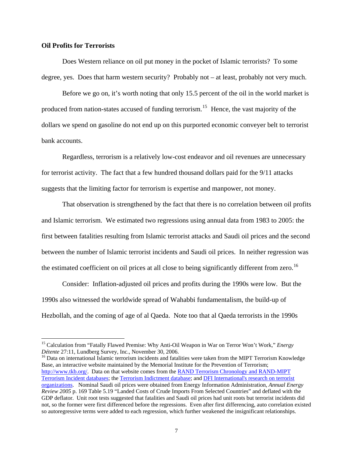# **Oil Profits for Terrorists**

 $\overline{a}$ 

 Does Western reliance on oil put money in the pocket of Islamic terrorists? To some degree, yes. Does that harm western security? Probably not – at least, probably not very much.

 Before we go on, it's worth noting that only 15.5 percent of the oil in the world market is produced from nation-states accused of funding terrorism.<sup>[15](#page-6-0)</sup> Hence, the vast majority of the dollars we spend on gasoline do not end up on this purported economic conveyer belt to terrorist bank accounts.

 Regardless, terrorism is a relatively low-cost endeavor and oil revenues are unnecessary for terrorist activity. The fact that a few hundred thousand dollars paid for the 9/11 attacks suggests that the limiting factor for terrorism is expertise and manpower, not money.

That observation is strengthened by the fact that there is no correlation between oil profits and Islamic terrorism. We estimated two regressions using annual data from 1983 to 2005: the first between fatalities resulting from Islamic terrorist attacks and Saudi oil prices and the second between the number of Islamic terrorist incidents and Saudi oil prices. In neither regression was the estimated coefficient on oil prices at all close to being significantly different from zero.<sup>[16](#page-6-1)</sup>

Consider: Inflation-adjusted oil prices and profits during the 1990s were low. But the 1990s also witnessed the worldwide spread of Wahabbi fundamentalism, the build-up of Hezbollah, and the coming of age of al Qaeda. Note too that al Qaeda terrorists in the 1990s

<span id="page-6-1"></span><sup>16</sup> Data on international Islamic terrorism incidents and fatalities were taken from the MIPT Terrorism Knowledge Base, an interactive website maintained by the Memorial Institute for the Prevention of Terrorism; [http://www.tkb.org/.](http://www.tkb.org/) Data on that website comes from the **RAND Terrorism Chronology and RAND-MIPT** [Terrorism Incident databases](http://www.tkb.org/RandSummary.jsp?page=about); the [Terrorism Indictment database;](http://www.tkb.org/ATSSummary.jsp?page=about) and [DFI International's research on terrorist](http://www.tkb.org/DFI.jsp?page=about)  [organizations.](http://www.tkb.org/DFI.jsp?page=about) Nominal Saudi oil prices were obtained from Energy Information Administration, *Annual Energy Review 2005* p. 169 Table 5.19 "Landed Costs of Crude Imports From Selected Countries" and deflated with the GDP deflator. Unit root tests suggested that fatalities and Saudi oil prices had unit roots but terrorist incidents did not, so the former were first differenced before the regressions. Even after first differencing, auto correlation existed so autoregressive terms were added to each regression, which further weakened the insignificant relationships.

<span id="page-6-0"></span><sup>&</sup>lt;sup>15</sup> Calculation from "Fatally Flawed Premise: Why Anti-Oil Weapon in War on Terror Won't Work," *Energy Détente* 27:11, Lundberg Survey, Inc., November 30, 2006.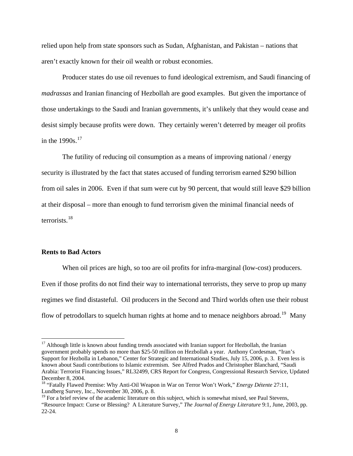relied upon help from state sponsors such as Sudan, Afghanistan, and Pakistan – nations that aren't exactly known for their oil wealth or robust economies.

 Producer states do use oil revenues to fund ideological extremism, and Saudi financing of *madrassas* and Iranian financing of Hezbollah are good examples. But given the importance of those undertakings to the Saudi and Iranian governments, it's unlikely that they would cease and desist simply because profits were down. They certainly weren't deterred by meager oil profits in the  $1990s$ .<sup>[17](#page-7-0)</sup>

 The futility of reducing oil consumption as a means of improving national / energy security is illustrated by the fact that states accused of funding terrorism earned \$290 billion from oil sales in 2006. Even if that sum were cut by 90 percent, that would still leave \$29 billion at their disposal – more than enough to fund terrorism given the minimal financial needs of terrorists.[18](#page-7-1)

### **Rents to Bad Actors**

1

 When oil prices are high, so too are oil profits for infra-marginal (low-cost) producers. Even if those profits do not find their way to international terrorists, they serve to prop up many regimes we find distasteful. Oil producers in the Second and Third worlds often use their robust flow of petrodollars to squelch human rights at home and to menace neighbors abroad.<sup>[19](#page-7-2)</sup> Many

<span id="page-7-0"></span><sup>&</sup>lt;sup>17</sup> Although little is known about funding trends associated with Iranian support for Hezbollah, the Iranian government probably spends no more than \$25-50 million on Hezbollah a year. Anthony Cordesman, "Iran's Support for Hezbolla in Lebanon," Center for Strategic and International Studies, July 15, 2006, p. 3. Even less is known about Saudi contributions to Islamic extremism. See Alfred Prados and Christopher Blanchard, "Saudi Arabia: Terrorist Financing Issues," RL32499, CRS Report for Congress, Congressional Research Service, Updated December 8, 2004.

<span id="page-7-1"></span><sup>18 &</sup>quot;Fatally Flawed Premise: Why Anti-Oil Weapon in War on Terror Won't Work," *Energy Détente* 27:11, Lundberg Survey, Inc., November 30, 2006, p. 8.

<span id="page-7-2"></span><sup>&</sup>lt;sup>19</sup> For a brief review of the academic literature on this subject, which is somewhat mixed, see Paul Stevens, "Resource Impact: Curse or Blessing? A Literature Survey," *The Journal of Energy Literature* 9:1, June, 2003, pp. 22-24.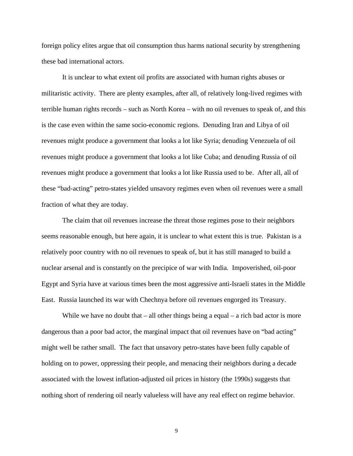foreign policy elites argue that oil consumption thus harms national security by strengthening these bad international actors.

 It is unclear to what extent oil profits are associated with human rights abuses or militaristic activity. There are plenty examples, after all, of relatively long-lived regimes with terrible human rights records – such as North Korea – with no oil revenues to speak of, and this is the case even within the same socio-economic regions. Denuding Iran and Libya of oil revenues might produce a government that looks a lot like Syria; denuding Venezuela of oil revenues might produce a government that looks a lot like Cuba; and denuding Russia of oil revenues might produce a government that looks a lot like Russia used to be. After all, all of these "bad-acting" petro-states yielded unsavory regimes even when oil revenues were a small fraction of what they are today.

 The claim that oil revenues increase the threat those regimes pose to their neighbors seems reasonable enough, but here again, it is unclear to what extent this is true. Pakistan is a relatively poor country with no oil revenues to speak of, but it has still managed to build a nuclear arsenal and is constantly on the precipice of war with India. Impoverished, oil-poor Egypt and Syria have at various times been the most aggressive anti-Israeli states in the Middle East. Russia launched its war with Chechnya before oil revenues engorged its Treasury.

While we have no doubt that  $-$  all other things being a equal  $-$  a rich bad actor is more dangerous than a poor bad actor, the marginal impact that oil revenues have on "bad acting" might well be rather small. The fact that unsavory petro-states have been fully capable of holding on to power, oppressing their people, and menacing their neighbors during a decade associated with the lowest inflation-adjusted oil prices in history (the 1990s) suggests that nothing short of rendering oil nearly valueless will have any real effect on regime behavior.

9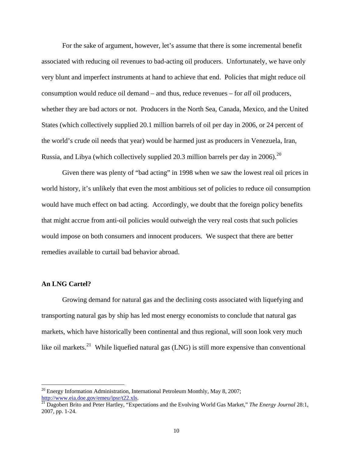For the sake of argument, however, let's assume that there is some incremental benefit associated with reducing oil revenues to bad-acting oil producers. Unfortunately, we have only very blunt and imperfect instruments at hand to achieve that end. Policies that might reduce oil consumption would reduce oil demand – and thus, reduce revenues – for *all* oil producers, whether they are bad actors or not. Producers in the North Sea, Canada, Mexico, and the United States (which collectively supplied 20.1 million barrels of oil per day in 2006, or 24 percent of the world's crude oil needs that year) would be harmed just as producers in Venezuela, Iran, Russia, and Libya (which collectively supplied [20](#page-9-0).3 million barrels per day in 2006).<sup>20</sup>

Given there was plenty of "bad acting" in 1998 when we saw the lowest real oil prices in world history, it's unlikely that even the most ambitious set of policies to reduce oil consumption would have much effect on bad acting. Accordingly, we doubt that the foreign policy benefits that might accrue from anti-oil policies would outweigh the very real costs that such policies would impose on both consumers and innocent producers. We suspect that there are better remedies available to curtail bad behavior abroad.

# **An LNG Cartel?**

 $\overline{a}$ 

 Growing demand for natural gas and the declining costs associated with liquefying and transporting natural gas by ship has led most energy economists to conclude that natural gas markets, which have historically been continental and thus regional, will soon look very much like oil markets.<sup>[21](#page-9-1)</sup> While liquefied natural gas (LNG) is still more expensive than conventional

 $20$  Energy Information Administration, International Petroleum Monthly, May 8, 2007;

<span id="page-9-1"></span><span id="page-9-0"></span><http://www.eia.doe.gov/emeu/ipsr/t22.xls>. [21](http://www.eia.doe.gov/emeu/ipsr/t22.xls) Dagobert Brito and Peter Hartley, "Expectations and the Evolving World Gas Market," *The Energy Journal* 28:1, 2007, pp. 1-24.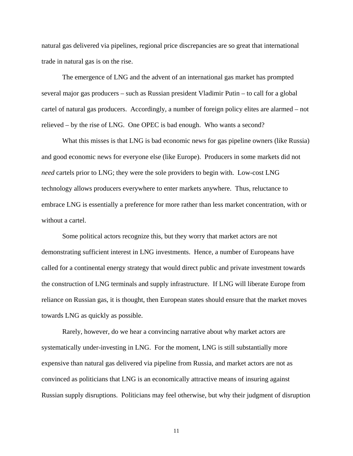natural gas delivered via pipelines, regional price discrepancies are so great that international trade in natural gas is on the rise.

 The emergence of LNG and the advent of an international gas market has prompted several major gas producers – such as Russian president Vladimir Putin – to call for a global cartel of natural gas producers. Accordingly, a number of foreign policy elites are alarmed – not relieved – by the rise of LNG. One OPEC is bad enough. Who wants a second?

 What this misses is that LNG is bad economic news for gas pipeline owners (like Russia) and good economic news for everyone else (like Europe). Producers in some markets did not *need* cartels prior to LNG; they were the sole providers to begin with. Low-cost LNG technology allows producers everywhere to enter markets anywhere. Thus, reluctance to embrace LNG is essentially a preference for more rather than less market concentration, with or without a cartel.

 Some political actors recognize this, but they worry that market actors are not demonstrating sufficient interest in LNG investments. Hence, a number of Europeans have called for a continental energy strategy that would direct public and private investment towards the construction of LNG terminals and supply infrastructure. If LNG will liberate Europe from reliance on Russian gas, it is thought, then European states should ensure that the market moves towards LNG as quickly as possible.

Rarely, however, do we hear a convincing narrative about why market actors are systematically under-investing in LNG. For the moment, LNG is still substantially more expensive than natural gas delivered via pipeline from Russia, and market actors are not as convinced as politicians that LNG is an economically attractive means of insuring against Russian supply disruptions. Politicians may feel otherwise, but why their judgment of disruption

11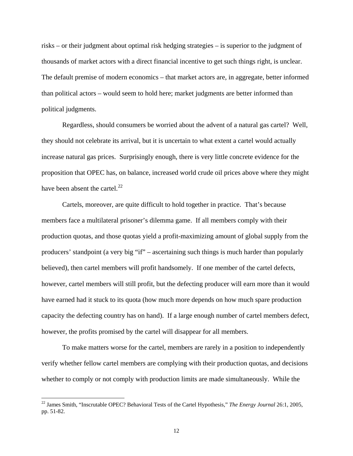risks – or their judgment about optimal risk hedging strategies – is superior to the judgment of thousands of market actors with a direct financial incentive to get such things right, is unclear. The default premise of modern economics – that market actors are, in aggregate, better informed than political actors – would seem to hold here; market judgments are better informed than political judgments.

 Regardless, should consumers be worried about the advent of a natural gas cartel? Well, they should not celebrate its arrival, but it is uncertain to what extent a cartel would actually increase natural gas prices. Surprisingly enough, there is very little concrete evidence for the proposition that OPEC has, on balance, increased world crude oil prices above where they might have been absent the cartel. $^{22}$  $^{22}$  $^{22}$ 

Cartels, moreover, are quite difficult to hold together in practice. That's because members face a multilateral prisoner's dilemma game. If all members comply with their production quotas, and those quotas yield a profit-maximizing amount of global supply from the producers' standpoint (a very big "if" – ascertaining such things is much harder than popularly believed), then cartel members will profit handsomely. If one member of the cartel defects, however, cartel members will still profit, but the defecting producer will earn more than it would have earned had it stuck to its quota (how much more depends on how much spare production capacity the defecting country has on hand). If a large enough number of cartel members defect, however, the profits promised by the cartel will disappear for all members.

To make matters worse for the cartel, members are rarely in a position to independently verify whether fellow cartel members are complying with their production quotas, and decisions whether to comply or not comply with production limits are made simultaneously. While the

<span id="page-11-0"></span><sup>22</sup> James Smith, "Inscrutable OPEC? Behavioral Tests of the Cartel Hypothesis," *The Energy Journal* 26:1, 2005, pp. 51-82.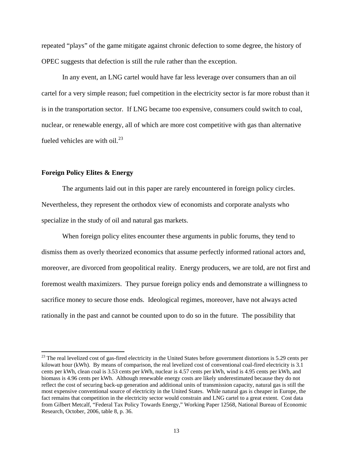repeated "plays" of the game mitigate against chronic defection to some degree, the history of OPEC suggests that defection is still the rule rather than the exception.

In any event, an LNG cartel would have far less leverage over consumers than an oil cartel for a very simple reason; fuel competition in the electricity sector is far more robust than it is in the transportation sector. If LNG became too expensive, consumers could switch to coal, nuclear, or renewable energy, all of which are more cost competitive with gas than alternative fueled vehicles are with oil. $^{23}$  $^{23}$  $^{23}$ 

# **Foreign Policy Elites & Energy**

 $\overline{a}$ 

The arguments laid out in this paper are rarely encountered in foreign policy circles. Nevertheless, they represent the orthodox view of economists and corporate analysts who specialize in the study of oil and natural gas markets.

When foreign policy elites encounter these arguments in public forums, they tend to dismiss them as overly theorized economics that assume perfectly informed rational actors and, moreover, are divorced from geopolitical reality. Energy producers, we are told, are not first and foremost wealth maximizers. They pursue foreign policy ends and demonstrate a willingness to sacrifice money to secure those ends. Ideological regimes, moreover, have not always acted rationally in the past and cannot be counted upon to do so in the future. The possibility that

<span id="page-12-0"></span> $23$  The real levelized cost of gas-fired electricity in the United States before government distortions is 5.29 cents per kilowatt hour (kWh). By means of comparison, the real levelized cost of conventional coal-fired electricity is 3.1 cents per kWh, clean coal is 3.53 cents per kWh, nuclear is 4.57 cents per kWh, wind is 4.95 cents per kWh, and biomass is 4.96 cents per kWh. Although renewable energy costs are likely underestimated because they do not reflect the cost of securing back-up generation and additional units of transmission capacity, natural gas is still the most expensive conventional source of electricity in the United States. While natural gas is cheaper in Europe, the fact remains that competition in the electricity sector would constrain and LNG cartel to a great extent. Cost data from Gilbert Metcalf, "Federal Tax Policy Towards Energy," Working Paper 12568, National Bureau of Economic Research, October, 2006, table 8, p. 36.